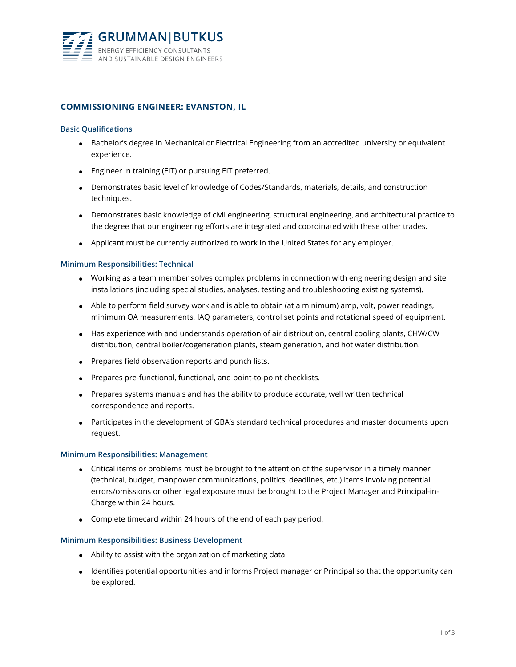

# **COMMISSIONING ENGINEER: EVANSTON, IL**

## **Basic Qualifications**

- Bachelor's degree in Mechanical or Electrical Engineering from an accredited university or equivalent experience.
- **•** Engineer in training (EIT) or pursuing EIT preferred.
- Demonstrates basic level of knowledge of Codes/Standards, materials, details, and construction techniques.
- Demonstrates basic knowledge of civil engineering, structural engineering, and architectural practice to the degree that our engineering efforts are integrated and coordinated with these other trades.
- Applicant must be currently authorized to work in the United States for any employer.

## **Minimum Responsibilities: Technical**

- Working as a team member solves complex problems in connection with engineering design and site installations (including special studies, analyses, testing and troubleshooting existing systems).
- Able to perform field survey work and is able to obtain (at a minimum) amp, volt, power readings, minimum OA measurements, IAQ parameters, control set points and rotational speed of equipment.
- Has experience with and understands operation of air distribution, central cooling plants, CHW/CW distribution, central boiler/cogeneration plants, steam generation, and hot water distribution.
- Prepares field observation reports and punch lists.
- Prepares pre-functional, functional, and point-to-point checklists.
- Prepares systems manuals and has the ability to produce accurate, well written technical correspondence and reports.
- Participates in the development of GBA's standard technical procedures and master documents upon request.

#### **Minimum Responsibilities: Management**

- Critical items or problems must be brought to the attention of the supervisor in a timely manner (technical, budget, manpower communications, politics, deadlines, etc.) Items involving potential errors/omissions or other legal exposure must be brought to the Project Manager and Principal-in-Charge within 24 hours.
- Complete timecard within 24 hours of the end of each pay period.

#### **Minimum Responsibilities: Business Development**

- Ability to assist with the organization of marketing data.
- Identifies potential opportunities and informs Project manager or Principal so that the opportunity can be explored.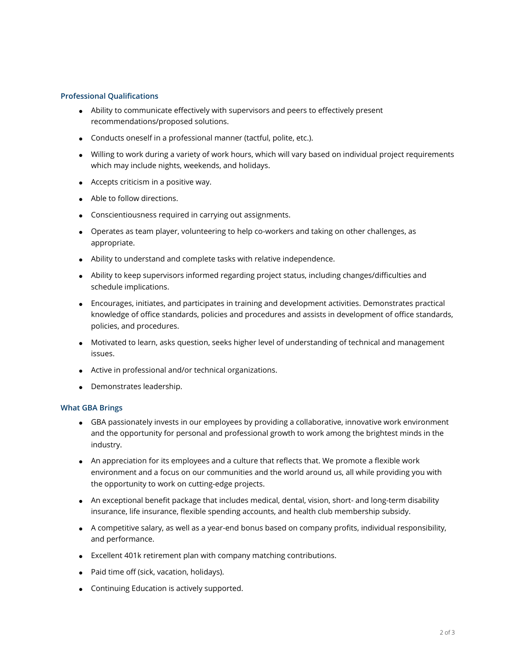## **Professional Qualifications**

- Ability to communicate effectively with supervisors and peers to effectively present recommendations/proposed solutions.
- Conducts oneself in a professional manner (tactful, polite, etc.).
- Willing to work during a variety of work hours, which will vary based on individual project requirements which may include nights, weekends, and holidays.
- Accepts criticism in a positive way.
- Able to follow directions.
- Conscientiousness required in carrying out assignments.
- Operates as team player, volunteering to help co-workers and taking on other challenges, as appropriate.
- Ability to understand and complete tasks with relative independence.
- Ability to keep supervisors informed regarding project status, including changes/difficulties and schedule implications.
- Encourages, initiates, and participates in training and development activities. Demonstrates practical knowledge of office standards, policies and procedures and assists in development of office standards, policies, and procedures.
- Motivated to learn, asks question, seeks higher level of understanding of technical and management issues.
- Active in professional and/or technical organizations.
- Demonstrates leadership.

#### **What GBA Brings**

- GBA passionately invests in our employees by providing a collaborative, innovative work environment and the opportunity for personal and professional growth to work among the brightest minds in the industry.
- An appreciation for its employees and a culture that reflects that. We promote a flexible work environment and a focus on our communities and the world around us, all while providing you with the opportunity to work on cutting-edge projects.
- An exceptional benefit package that includes medical, dental, vision, short- and long-term disability insurance, life insurance, flexible spending accounts, and health club membership subsidy.
- A competitive salary, as well as a year-end bonus based on company profits, individual responsibility, and performance.
- Excellent 401k retirement plan with company matching contributions.
- Paid time off (sick, vacation, holidays).
- Continuing Education is actively supported.